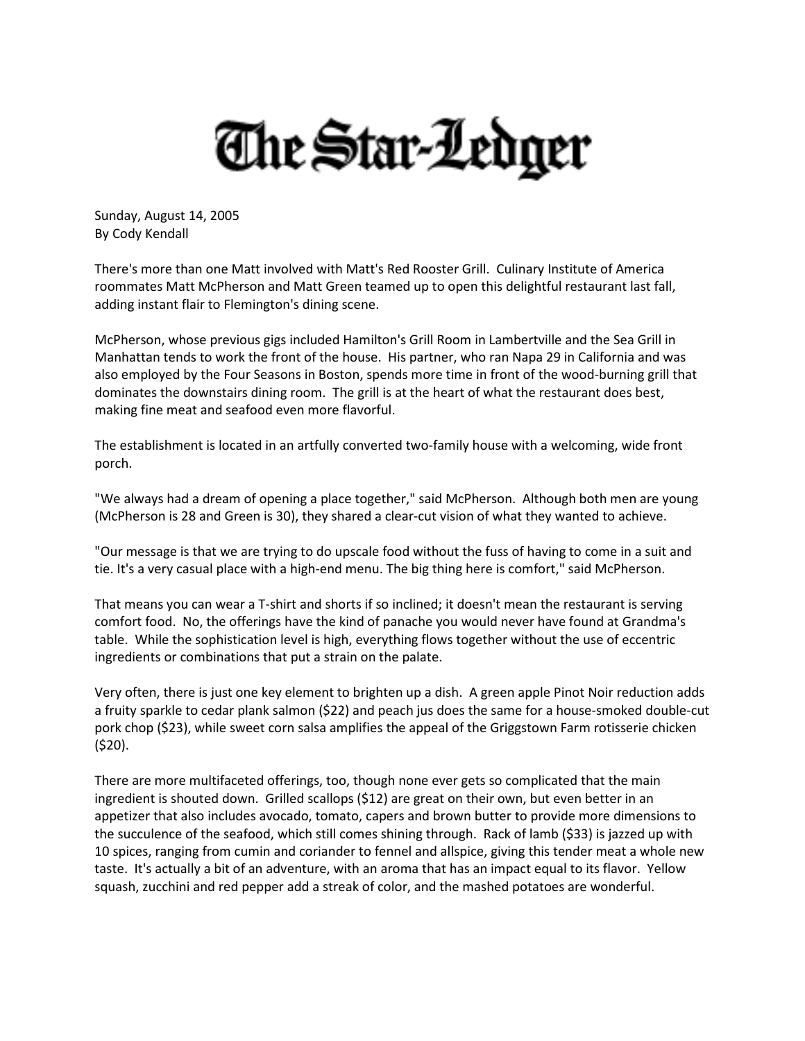## The Star-Ledger

Sunday, August 14, 2005 By Cody Kendall

There's more than one Matt involved with Matt's Red Rooster Grill. Culinary Institute of America roommates Matt McPherson and Matt Green teamed up to open this delightful restaurant last fall, adding instant flair to Flemington's dining scene.

McPherson, whose previous gigs included Hamilton's Grill Room in Lambertville and the Sea Grill in Manhattan tends to work the front of the house. His partner, who ran Napa 29 in California and was also employed by the Four Seasons in Boston, spends more time in front of the wood-burning grill that dominates the downstairs dining room. The grill is at the heart of what the restaurant does best, making fine meat and seafood even more flavorful.

The establishment is located in an artfully converted two-family house with a welcoming, wide front porch.

"We always had a dream of opening a place together," said McPherson. Although both men are young (McPherson is 28 and Green is 30), they shared a clear-cut vision of what they wanted to achieve.

"Our message is that we are trying to do upscale food without the fuss of having to come in a suit and tie. It's a very casual place with a high-end menu. The big thing here is comfort," said McPherson.

That means you can wear a T-shirt and shorts if so inclined; it doesn't mean the restaurant is serving comfort food. No, the offerings have the kind of panache you would never have found at Grandma's table. While the sophistication level is high, everything flows together without the use of eccentric ingredients or combinations that put a strain on the palate.

Very often, there is just one key element to brighten up a dish. A green apple Pinot Noir reduction adds a fruity sparkle to cedar plank salmon (\$22) and peach jus does the same for a house-smoked double-cut pork chop (\$23), while sweet corn salsa amplifies the appeal of the Griggstown Farm rotisserie chicken (\$20).

There are more multifaceted offerings, too, though none ever gets so complicated that the main ingredient is shouted down. Grilled scallops (\$12) are great on their own, but even better in an appetizer that also includes avocado, tomato, capers and brown butter to provide more dimensions to the succulence of the seafood, which still comes shining through. Rack of lamb (\$33) is jazzed up with 10 spices, ranging from cumin and coriander to fennel and allspice, giving this tender meat a whole new taste. It's actually a bit of an adventure, with an aroma that has an impact equal to its flavor. Yellow squash, zucchini and red pepper add a streak of color, and the mashed potatoes are wonderful.